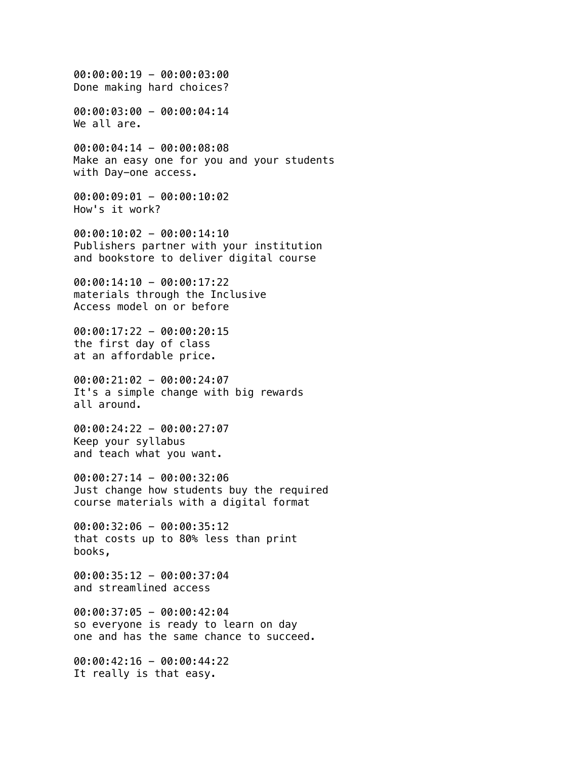00:00:00:19 - 00:00:03:00 Done making hard choices?

00:00:03:00 - 00:00:04:14 We all are.

00:00:04:14 - 00:00:08:08 Make an easy one for you and your students with Day-one access.

00:00:09:01 - 00:00:10:02 How's it work?

00:00:10:02 - 00:00:14:10 Publishers partner with your institution and bookstore to deliver digital course

00:00:14:10 - 00:00:17:22 materials through the Inclusive Access model on or before

00:00:17:22 - 00:00:20:15 the first day of class at an affordable price.

00:00:21:02 - 00:00:24:07 It's a simple change with big rewards all around.

00:00:24:22 - 00:00:27:07 Keep your syllabus and teach what you want.

00:00:27:14 - 00:00:32:06 Just change how students buy the required course materials with a digital format

00:00:32:06 - 00:00:35:12 that costs up to 80% less than print books,

00:00:35:12 - 00:00:37:04 and streamlined access

00:00:37:05 - 00:00:42:04 so everyone is ready to learn on day one and has the same chance to succeed.

00:00:42:16 - 00:00:44:22 It really is that easy.